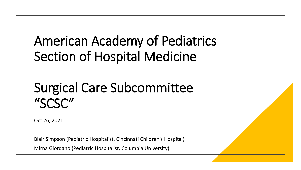### American Academy of Pediatrics Section of Hospital Medicine

### Surgical Care Subcommittee "SCSC"

Oct 26, 2021

Blair Simpson (Pediatric Hospitalist, Cincinnati Children's Hospital)

Mirna Giordano (Pediatric Hospitalist, Columbia University)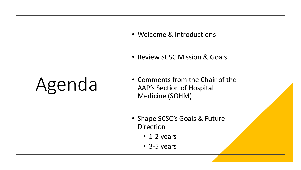# Agenda

- Welcome & Introductions
- Review SCSC Mission & Goals
- Comments from the Chair of the AAP's Section of Hospital Medicine (SOHM)
- Shape SCSC's Goals & Future **Direction** 
	- 1-2 years
	- 3-5 years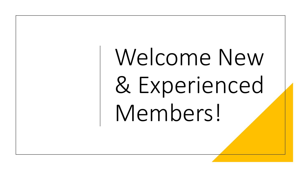Welcome New & Experienced Members!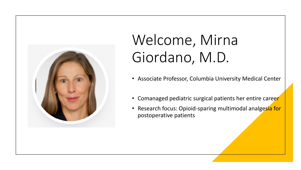

### Welcome, Mirna Giordano, M.D.

- Associate Professor, Columbia University Medical Center
- Comanaged pediatric surgical patients her entire career
- Research focus: Opioid-sparing multimodal analgesia for postoperative patients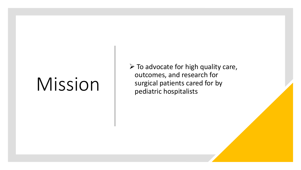## Mission

 $\triangleright$  To advocate for high quality care, outcomes, and research for surgical patients cared for by pediatric hospitalists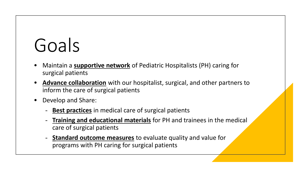# Goals

- Maintain a **supportive network** of Pediatric Hospitalists (PH) caring for surgical patients
- **Advance collaboration** with our hospitalist, surgical, and other partners to inform the care of surgical patients
- Develop and Share:
	- **Best practices** in medical care of surgical patients
	- **Training and educational materials** for PH and trainees in the medical care of surgical patients
	- **Standard outcome measures** to evaluate quality and value for programs with PH caring for surgical patients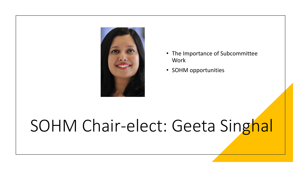

- The Importance of Subcommittee **Work**
- SOHM opportunities

### SOHM Chair-elect: Geeta Singhal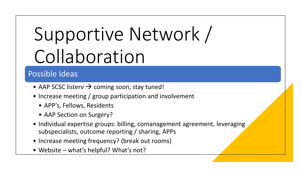# Supportive Network / Collaboration

- AAP SCSC listerv  $\rightarrow$  coming soon, stay tuned!
- Increase meeting / group participation and involvement
	- APP's, Fellows, Residents
	- AAP Section on Surgery?
- Individual expertise groups: billing, comanagement agreement, leveraging subspecialists, outcome reporting / sharing, APPs
- Increase meeting frequency? (break out rooms)
- Website what's helpful? What's not?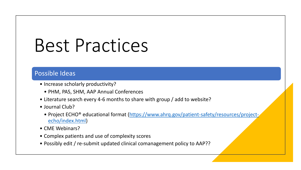## Best Practices

- Increase scholarly productivity?
	- PHM, PAS, SHM, AAP Annual Conferences
- Literature search every 4-6 months to share with group / add to website?
- Journal Club?
	- [Project ECHO® educational format \(https://www.ahrq.gov/patient-safety/resources/project](https://www.ahrq.gov/patient-safety/resources/project-echo/index.html)echo/index.html)
- CME Webinars?
- Complex patients and use of complexity scores
- Possibly edit / re-submit updated clinical comanagement policy to AAP??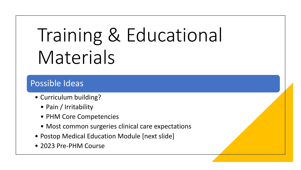# Training & Educational Materials

- Curriculum building?
	- Pain / Irritability
	- PHM Core Competencies
	- Most common surgeries clinical care expectations
- Postop Medical Education Module [next slide]
- 2023 Pre-PHM Course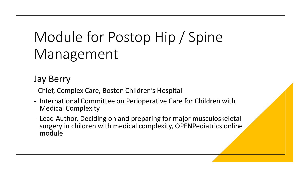### Module for Postop Hip / Spine Management

### Jay Berry

- Chief, Complex Care, Boston Children's Hospital
- International Committee on Perioperative Care for Children with Medical Complexity
- Lead Author, Deciding on and preparing for major musculoskeletal surgery in children with medical complexity, OPENPediatrics online module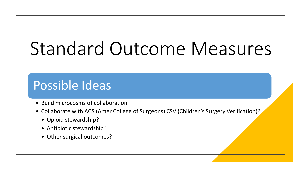# Standard Outcome Measures

- Build microcosms of collaboration
- Collaborate with ACS (Amer College of Surgeons) CSV (Children's Surgery Verification)?
	- Opioid stewardship?
	- Antibiotic stewardship?
	- Other surgical outcomes?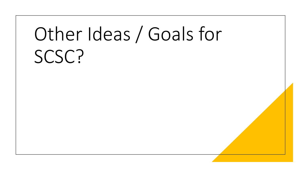# Other Ideas / Goals for SCSC?